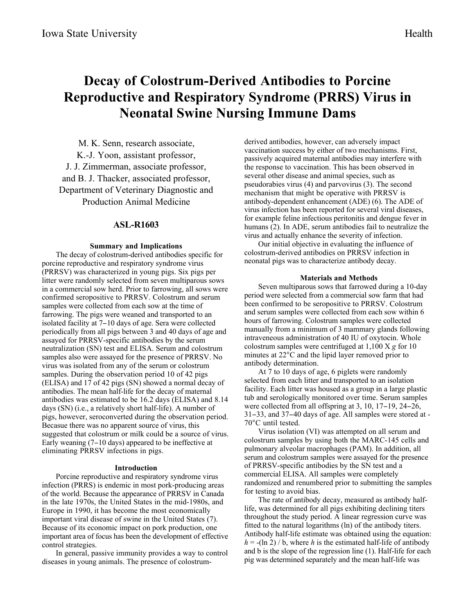# **Decay of Colostrum-Derived Antibodies to Porcine Reproductive and Respiratory Syndrome (PRRS) Virus in Neonatal Swine Nursing Immune Dams**

M. K. Senn, research associate, K.-J. Yoon, assistant professor, J. J. Zimmerman, associate professor, and B. J. Thacker, associated professor, Department of Veterinary Diagnostic and Production Animal Medicine

## **ASL-R1603**

## **Summary and Implications**

The decay of colostrum-derived antibodies specific for porcine reproductive and respiratory syndrome virus (PRRSV) was characterized in young pigs. Six pigs per litter were randomly selected from seven multiparous sows in a commercial sow herd. Prior to farrowing, all sows were confirmed seropositive to PRRSV. Colostrum and serum samples were collected from each sow at the time of farrowing. The pigs were weaned and transported to an isolated facility at 7-10 days of age. Sera were collected periodically from all pigs between 3 and 40 days of age and assayed for PRRSV-specific antibodies by the serum neutralization (SN) test and ELISA. Serum and colostrum samples also were assayed for the presence of PRRSV. No virus was isolated from any of the serum or colostrum samples. During the observation period 10 of 42 pigs (ELISA) and 17 of 42 pigs (SN) showed a normal decay of antibodies. The mean half-life for the decay of maternal antibodies was estimated to be 16.2 days (ELISA) and 8.14 days (SN) (i.e., a relatively short half-life). A number of pigs, however, seroconverted during the observation period. Becasue there was no apparent source of virus, this suggested that colostrum or milk could be a source of virus. Early weaning (7-10 days) appeared to be ineffective at eliminating PRRSV infections in pigs.

## **Introduction**

Porcine reproductive and respiratory syndrome virus infection (PRRS) is endemic in most pork-producing areas of the world. Because the appearance of PRRSV in Canada in the late 1970s, the United States in the mid-1980s, and Europe in 1990, it has become the most economically important viral disease of swine in the United States (7). Because of its economic impact on pork production, one important area of focus has been the development of effective control strategies.

In general, passive immunity provides a way to control diseases in young animals. The presence of colostrumderived antibodies, however, can adversely impact vaccination success by either of two mechanisms. First, passively acquired maternal antibodies may interfere with the response to vaccination. This has been observed in several other disease and animal species, such as pseudorabies virus (4) and parvovirus (3). The second mechanism that might be operative with PRRSV is antibody-dependent enhancement (ADE) (6). The ADE of virus infection has been reported for several viral diseases, for example feline infectious peritonitis and dengue fever in humans (2). In ADE, serum antibodies fail to neutralize the virus and actually enhance the severity of infection.

Our initial objective in evaluating the influence of colostrum-derived antibodies on PRRSV infection in neonatal pigs was to characterize antibody decay.

#### **Materials and Methods**

Seven multiparous sows that farrowed during a 10-day period were selected from a commercial sow farm that had been confirmed to be seropositive to PRRSV. Colostrum and serum samples were collected from each sow within 6 hours of farrowing. Colostrum samples were collected manually from a minimum of 3 mammary glands following intraveneous administration of 40 IU of oxytocin. Whole colostrum samples were centrifuged at 1,100 X *g* for 10 minutes at 22°C and the lipid layer removed prior to antibody determination.

At 7 to 10 days of age, 6 piglets were randomly selected from each litter and transported to an isolation facility. Each litter was housed as a group in a large plastic tub and serologically monitored over time. Serum samples were collected from all offspring at 3, 10, 17–19, 24–26, 31-33, and 37-40 days of age. All samples were stored at - 70°C until tested.

Virus isolation (VI) was attempted on all serum and colostrum samples by using both the MARC-145 cells and pulmonary alveolar macrophages (PAM). In addition, all serum and colostrum samples were assayed for the presence of PRRSV-specific antibodies by the SN test and a commercial ELISA. All samples were completely randomized and renumbered prior to submitting the samples for testing to avoid bias.

The rate of antibody decay, measured as antibody halflife, was determined for all pigs exhibiting declining titers throughout the study period. A linear regression curve was fitted to the natural logarithms (ln) of the antibody titers. Antibody half-life estimate was obtained using the equation:  $h = -(ln 2)/b$ , where *h* is the estimated half-life of antibody and b is the slope of the regression line (1). Half-life for each pig was determined separately and the mean half-life was